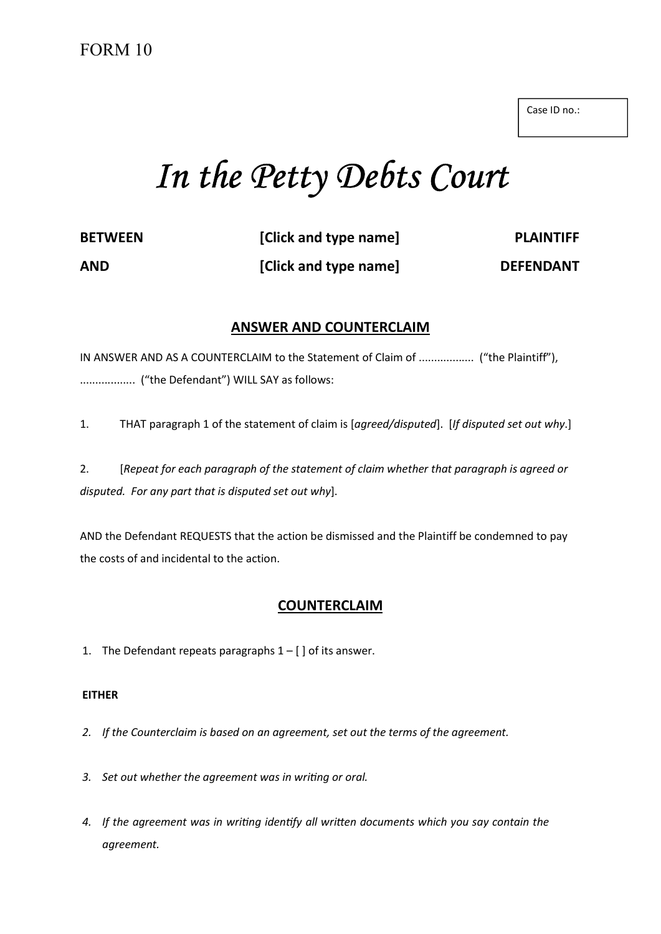Case ID no.:

# In the Petty Debts Court

| <b>BETWEEN</b> | [Click and type name] | <b>PLAINTIFF</b> |
|----------------|-----------------------|------------------|
| <b>AND</b>     | [Click and type name] | <b>DEFENDANT</b> |

### ANSWER AND COUNTERCLAIM

IN ANSWER AND AS A COUNTERCLAIM to the Statement of Claim of .................. ("the Plaintiff"), .................. ("the Defendant") WILL SAY as follows:

1. THAT paragraph 1 of the statement of claim is [agreed/disputed]. [If disputed set out why.]

2. [Repeat for each paragraph of the statement of claim whether that paragraph is agreed or disputed. For any part that is disputed set out why].

AND the Defendant REQUESTS that the action be dismissed and the Plaintiff be condemned to pay the costs of and incidental to the action.

## COUNTERCLAIM

1. The Defendant repeats paragraphs  $1 - [$  of its answer.

#### EITHER

- 2. If the Counterclaim is based on an agreement, set out the terms of the agreement.
- 3. Set out whether the agreement was in writing or oral.
- 4. If the agreement was in writing identify all written documents which you say contain the agreement.